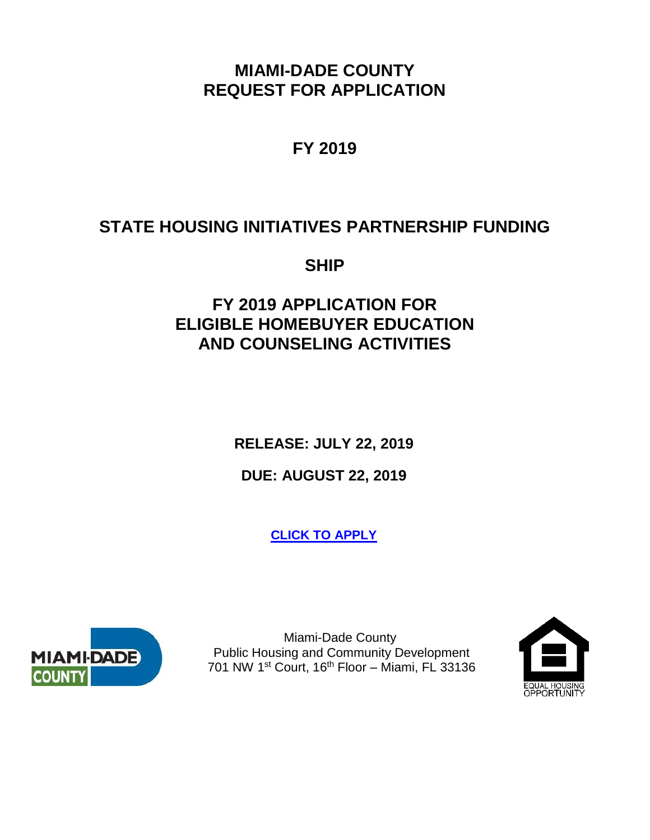**MIAMI-DADE COUNTY REQUEST FOR APPLICATION**

**FY 2019**

# **STATE HOUSING INITIATIVES PARTNERSHIP FUNDING**

**SHIP**

**FY 2019 APPLICATION FOR ELIGIBLE HOMEBUYER EDUCATION AND COUNSELING ACTIVITIES**

**RELEASE: JULY 22, 2019**

**DUE: AUGUST 22, 2019**

**[CLICK TO APPLY](https://zoomgrants.com/gprop.asp?donorid=2326&limited=2300)**



 Miami-Dade County Public Housing and Community Development 701 NW 1<sup>st</sup> Court, 16<sup>th</sup> Floor - Miami, FL 33136

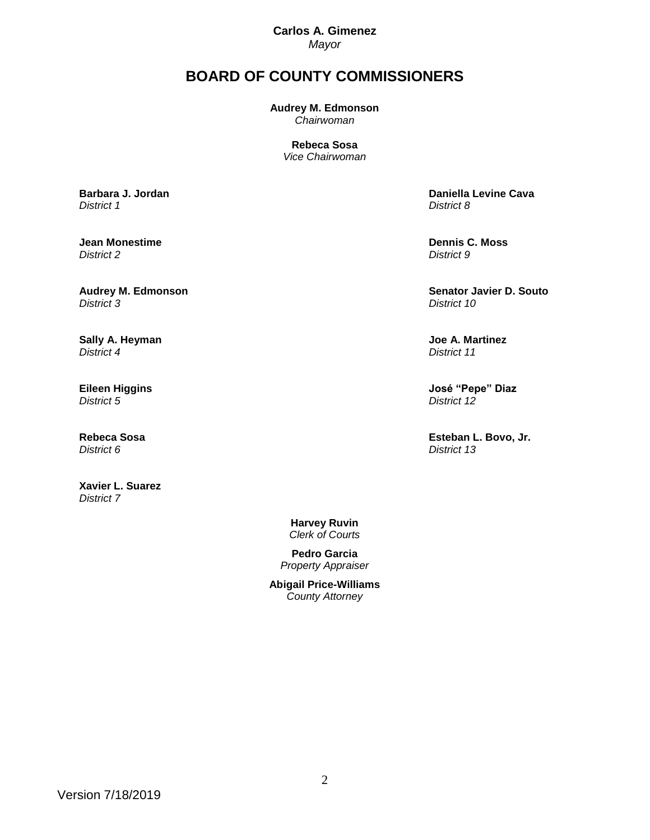**Carlos A. Gimenez** *Mayor*

# **BOARD OF COUNTY COMMISSIONERS**

**Audrey M. Edmonson** *Chairwoman*

> **Rebeca Sosa** *Vice Chairwoman*

**[Barbara J. Jordan](http://www.miamidade.gov/district01/home.asp)** *District 1*

**Jean Monestime**  *District 2*

**[Audrey M. Edmonson](http://www.miamidade.gov/district03/home.asp)** *District 3*

**[Sally A. Heyman](http://www.miamidade.gov/district04/home.asp)** *District 4*

**Eileen Higgins** *District 5*

**[Rebeca Sosa](http://www.miamidade.gov/district06/home.asp)** *District 6*

**Xavier L. Suarez**  *District 7*

**Daniella Levine Cava** *District 8*

**[Dennis C. Moss](http://www.miamidade.gov/officeofthechair)** *District 9*

**[Senator Javier D. Souto](http://www.miamidade.gov/district10/home.asp)** *District 10*

**Joe A. Martinez** *District 11*

**[José "Pepe" Diaz](http://www.miamidade.gov/district12/home.asp)** *District 12*

**Esteban L. Bovo, Jr.**  *District 13*

**Harvey Ruvin** *Clerk of Courts*

**Pedro Garcia** *Property Appraiser*

**Abigail Price-Williams** *County Attorney*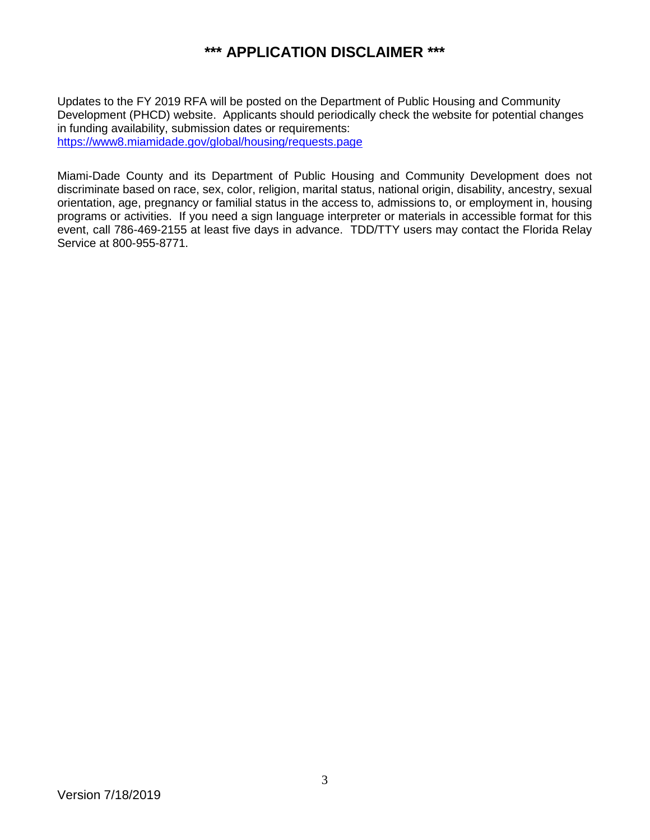# **\*\*\* APPLICATION DISCLAIMER \*\*\***

Updates to the FY 2019 RFA will be posted on the Department of Public Housing and Community Development (PHCD) website. Applicants should periodically check the website for potential changes in funding availability, submission dates or requirements: <https://www8.miamidade.gov/global/housing/requests.page>

Miami-Dade County and its Department of Public Housing and Community Development does not discriminate based on race, sex, color, religion, marital status, national origin, disability, ancestry, sexual orientation, age, pregnancy or familial status in the access to, admissions to, or employment in, housing programs or activities. If you need a sign language interpreter or materials in accessible format for this event, call 786-469-2155 at least five days in advance. TDD/TTY users may contact the Florida Relay Service at 800-955-8771.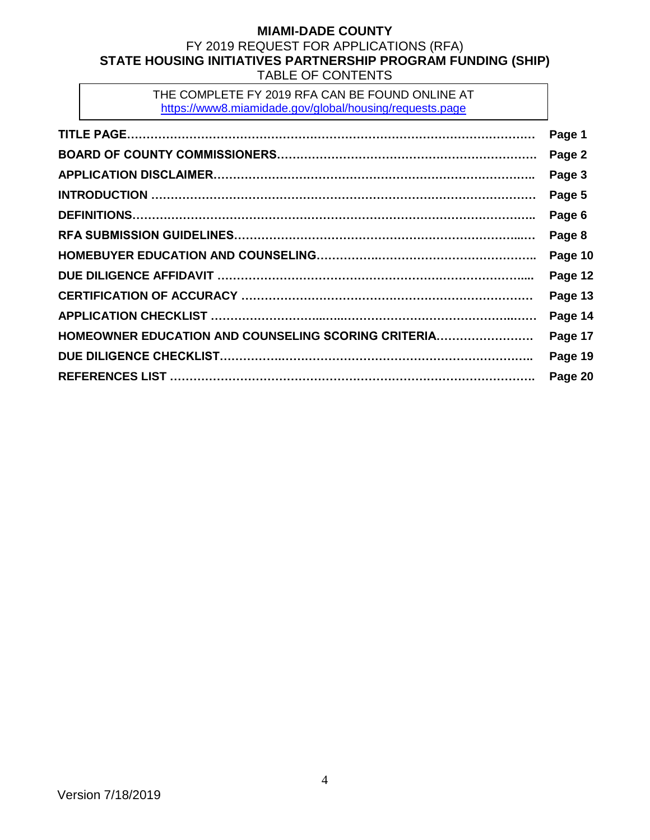#### **MIAMI-DADE COUNTY** FY 2019 REQUEST FOR APPLICATIONS (RFA) **STATE HOUSING INITIATIVES PARTNERSHIP PROGRAM FUNDING (SHIP)** TABLE OF CONTENTS

THE COMPLETE FY 2019 RFA CAN BE FOUND ONLINE AT <https://www8.miamidade.gov/global/housing/requests.page>

|                                                     | Page 1  |
|-----------------------------------------------------|---------|
|                                                     | Page 2  |
|                                                     | Page 3  |
|                                                     | Page 5  |
|                                                     | Page 6  |
|                                                     | Page 8  |
|                                                     | Page 10 |
|                                                     | Page 12 |
|                                                     | Page 13 |
|                                                     | Page 14 |
| HOMEOWNER EDUCATION AND COUNSELING SCORING CRITERIA | Page 17 |
|                                                     | Page 19 |
|                                                     | Page 20 |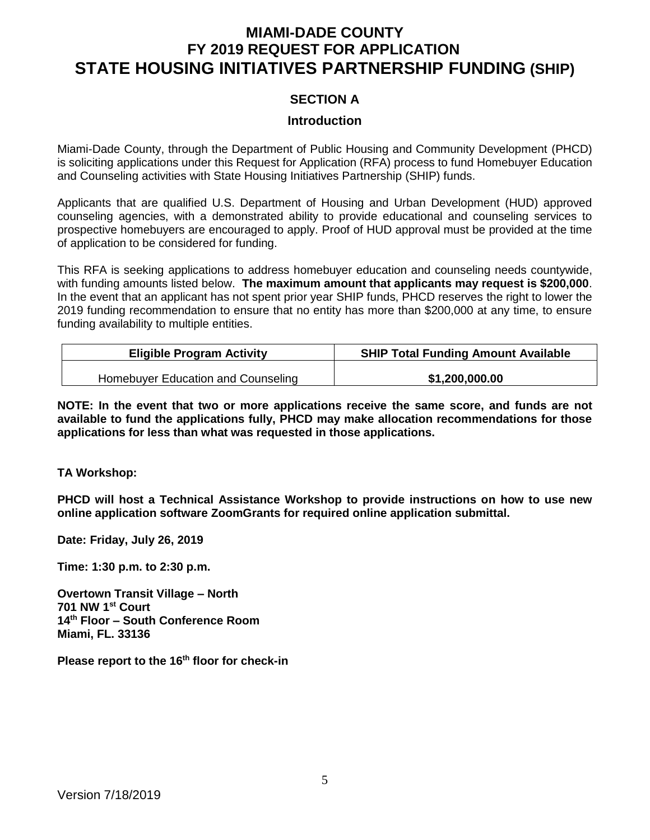# **MIAMI-DADE COUNTY FY 2019 REQUEST FOR APPLICATION STATE HOUSING INITIATIVES PARTNERSHIP FUNDING (SHIP)**

#### **SECTION A**

#### **Introduction**

Miami-Dade County, through the Department of Public Housing and Community Development (PHCD) is soliciting applications under this Request for Application (RFA) process to fund Homebuyer Education and Counseling activities with State Housing Initiatives Partnership (SHIP) funds.

Applicants that are qualified U.S. Department of Housing and Urban Development (HUD) approved counseling agencies, with a demonstrated ability to provide educational and counseling services to prospective homebuyers are encouraged to apply. Proof of HUD approval must be provided at the time of application to be considered for funding.

This RFA is seeking applications to address homebuyer education and counseling needs countywide, with funding amounts listed below. **The maximum amount that applicants may request is \$200,000**. In the event that an applicant has not spent prior year SHIP funds, PHCD reserves the right to lower the 2019 funding recommendation to ensure that no entity has more than \$200,000 at any time, to ensure funding availability to multiple entities.

| <b>Eligible Program Activity</b>   | <b>SHIP Total Funding Amount Available</b> |
|------------------------------------|--------------------------------------------|
| Homebuyer Education and Counseling | \$1,200,000.00                             |

**NOTE: In the event that two or more applications receive the same score, and funds are not available to fund the applications fully, PHCD may make allocation recommendations for those applications for less than what was requested in those applications.**

#### **TA Workshop:**

**PHCD will host a Technical Assistance Workshop to provide instructions on how to use new online application software ZoomGrants for required online application submittal.** 

**Date: Friday, July 26, 2019**

**Time: 1:30 p.m. to 2:30 p.m.**

**Overtown Transit Village – North 701 NW 1st Court 14th Floor – South Conference Room Miami, FL. 33136**

**Please report to the 16th floor for check-in**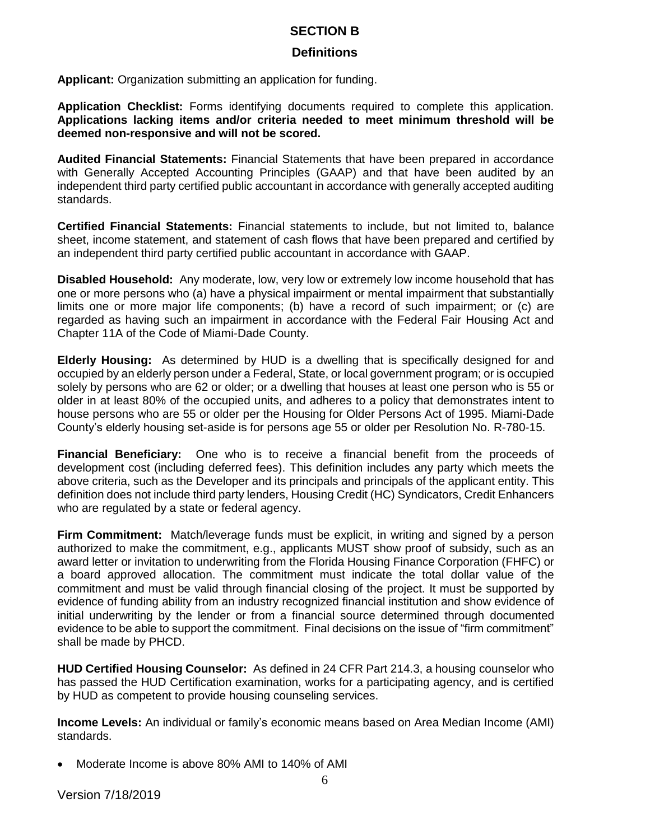#### **SECTION B**

#### **Definitions**

**Applicant:** Organization submitting an application for funding.

**Application Checklist:** Forms identifying documents required to complete this application. **Applications lacking items and/or criteria needed to meet minimum threshold will be deemed non-responsive and will not be scored.** 

**Audited Financial Statements:** Financial Statements that have been prepared in accordance with Generally Accepted Accounting Principles (GAAP) and that have been audited by an independent third party certified public accountant in accordance with generally accepted auditing standards.

**Certified Financial Statements:** Financial statements to include, but not limited to, balance sheet, income statement, and statement of cash flows that have been prepared and certified by an independent third party certified public accountant in accordance with GAAP.

**Disabled Household:** Any moderate, low, very low or extremely low income household that has one or more persons who (a) have a physical impairment or mental impairment that substantially limits one or more major life components; (b) have a record of such impairment; or (c) are regarded as having such an impairment in accordance with the Federal Fair Housing Act and Chapter 11A of the Code of Miami-Dade County.

**Elderly Housing:** As determined by HUD is a dwelling that is specifically designed for and occupied by an elderly person under a Federal, State, or local government program; or is occupied solely by persons who are 62 or older; or a dwelling that houses at least one person who is 55 or older in at least 80% of the occupied units, and adheres to a policy that demonstrates intent to house persons who are 55 or older per the Housing for Older Persons Act of 1995. Miami-Dade County's elderly housing set-aside is for persons age 55 or older per Resolution No. R-780-15.

**Financial Beneficiary:** One who is to receive a financial benefit from the proceeds of development cost (including deferred fees). This definition includes any party which meets the above criteria, such as the Developer and its principals and principals of the applicant entity. This definition does not include third party lenders, Housing Credit (HC) Syndicators, Credit Enhancers who are regulated by a state or federal agency.

**Firm Commitment:** Match/leverage funds must be explicit, in writing and signed by a person authorized to make the commitment, e.g., applicants MUST show proof of subsidy, such as an award letter or invitation to underwriting from the Florida Housing Finance Corporation (FHFC) or a board approved allocation. The commitment must indicate the total dollar value of the commitment and must be valid through financial closing of the project. It must be supported by evidence of funding ability from an industry recognized financial institution and show evidence of initial underwriting by the lender or from a financial source determined through documented evidence to be able to support the commitment. Final decisions on the issue of "firm commitment" shall be made by PHCD.

**HUD Certified Housing Counselor:** As defined in 24 CFR Part 214.3, a housing counselor who has passed the HUD Certification examination, works for a participating agency, and is certified by HUD as competent to provide housing counseling services.

**Income Levels:** An individual or family's economic means based on Area Median Income (AMI) standards.

• Moderate Income is above 80% AMI to 140% of AMI

Version 7/18/2019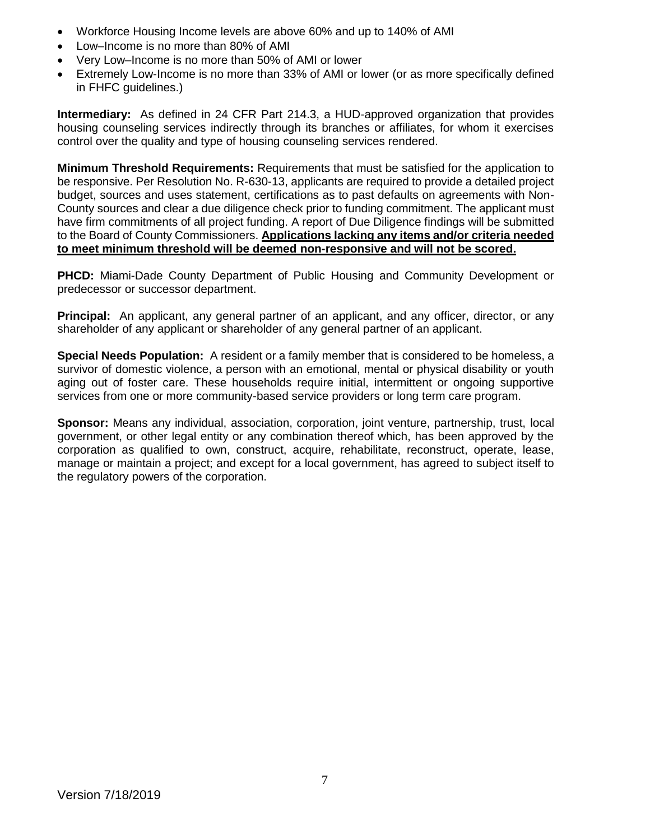- Workforce Housing Income levels are above 60% and up to 140% of AMI
- Low–Income is no more than 80% of AMI
- Very Low–Income is no more than 50% of AMI or lower
- Extremely Low-Income is no more than 33% of AMI or lower (or as more specifically defined in FHFC guidelines.)

**Intermediary:** As defined in 24 CFR Part 214.3, a HUD-approved organization that provides housing counseling services indirectly through its branches or affiliates, for whom it exercises control over the quality and type of housing counseling services rendered.

**Minimum Threshold Requirements:** Requirements that must be satisfied for the application to be responsive. Per Resolution No. R-630-13, applicants are required to provide a detailed project budget, sources and uses statement, certifications as to past defaults on agreements with Non-County sources and clear a due diligence check prior to funding commitment. The applicant must have firm commitments of all project funding. A report of Due Diligence findings will be submitted to the Board of County Commissioners. **Applications lacking any items and/or criteria needed to meet minimum threshold will be deemed non-responsive and will not be scored.** 

**PHCD:** Miami-Dade County Department of Public Housing and Community Development or predecessor or successor department.

**Principal:** An applicant, any general partner of an applicant, and any officer, director, or any shareholder of any applicant or shareholder of any general partner of an applicant.

**Special Needs Population:** A resident or a family member that is considered to be homeless, a survivor of domestic violence, a person with an emotional, mental or physical disability or youth aging out of foster care. These households require initial, intermittent or ongoing supportive services from one or more community-based service providers or long term care program.

**Sponsor:** Means any individual, association, corporation, joint venture, partnership, trust, local government, or other legal entity or any combination thereof which, has been approved by the corporation as qualified to own, construct, acquire, rehabilitate, reconstruct, operate, lease, manage or maintain a project; and except for a local government, has agreed to subject itself to the regulatory powers of the corporation.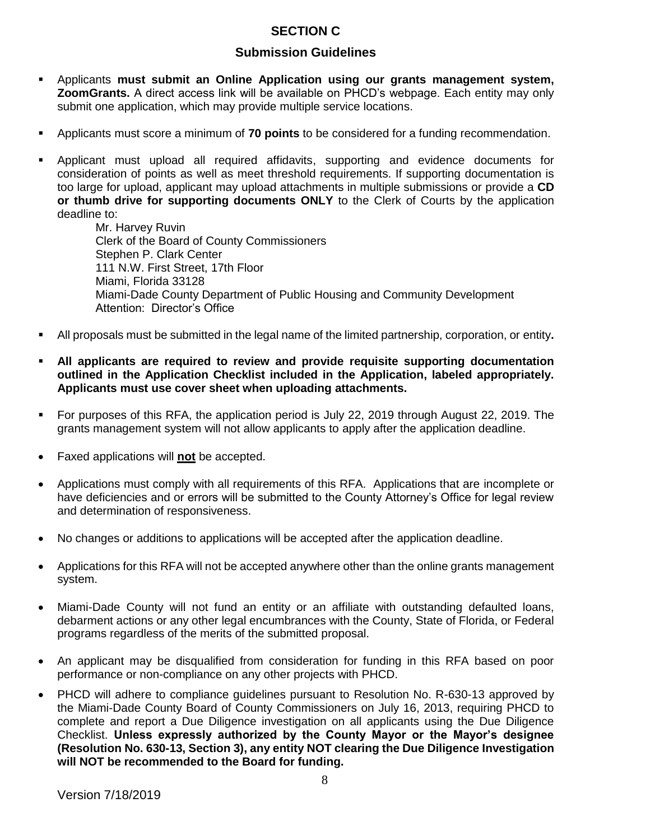# **SECTION C**

### **Submission Guidelines**

- Applicants **must submit an Online Application using our grants management system, ZoomGrants.** A direct access link will be available on PHCD's webpage. Each entity may only submit one application, which may provide multiple service locations.
- Applicants must score a minimum of **70 points** to be considered for a funding recommendation.
- Applicant must upload all required affidavits, supporting and evidence documents for consideration of points as well as meet threshold requirements. If supporting documentation is too large for upload, applicant may upload attachments in multiple submissions or provide a **CD or thumb drive for supporting documents ONLY** to the Clerk of Courts by the application deadline to:

Mr. Harvey Ruvin Clerk of the Board of County Commissioners Stephen P. Clark Center 111 N.W. First Street, 17th Floor Miami, Florida 33128 Miami-Dade County Department of Public Housing and Community Development Attention: Director's Office

- All proposals must be submitted in the legal name of the limited partnership, corporation, or entity**.**
- All applicants are required to review and provide requisite supporting documentation **outlined in the Application Checklist included in the Application, labeled appropriately. Applicants must use cover sheet when uploading attachments.**
- For purposes of this RFA, the application period is July 22, 2019 through August 22, 2019. The grants management system will not allow applicants to apply after the application deadline.
- Faxed applications will **not** be accepted.
- Applications must comply with all requirements of this RFA. Applications that are incomplete or have deficiencies and or errors will be submitted to the County Attorney's Office for legal review and determination of responsiveness.
- No changes or additions to applications will be accepted after the application deadline.
- Applications for this RFA will not be accepted anywhere other than the online grants management system.
- Miami-Dade County will not fund an entity or an affiliate with outstanding defaulted loans, debarment actions or any other legal encumbrances with the County, State of Florida, or Federal programs regardless of the merits of the submitted proposal.
- An applicant may be disqualified from consideration for funding in this RFA based on poor performance or non-compliance on any other projects with PHCD.
- PHCD will adhere to compliance guidelines pursuant to Resolution No. R-630-13 approved by the Miami-Dade County Board of County Commissioners on July 16, 2013, requiring PHCD to complete and report a Due Diligence investigation on all applicants using the Due Diligence Checklist. **Unless expressly authorized by the County Mayor or the Mayor's designee (Resolution No. 630-13, Section 3), any entity NOT clearing the Due Diligence Investigation will NOT be recommended to the Board for funding.**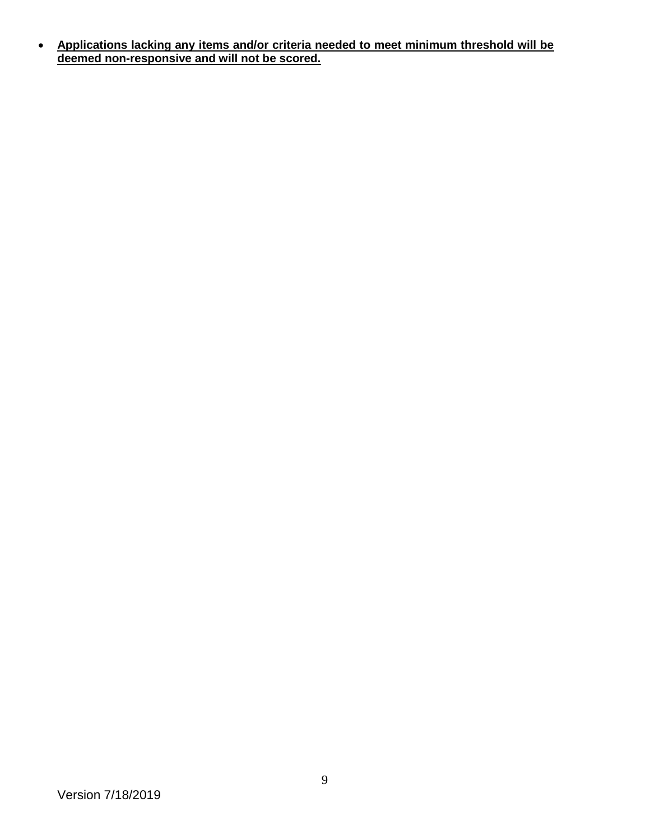• **Applications lacking any items and/or criteria needed to meet minimum threshold will be deemed non-responsive and will not be scored.**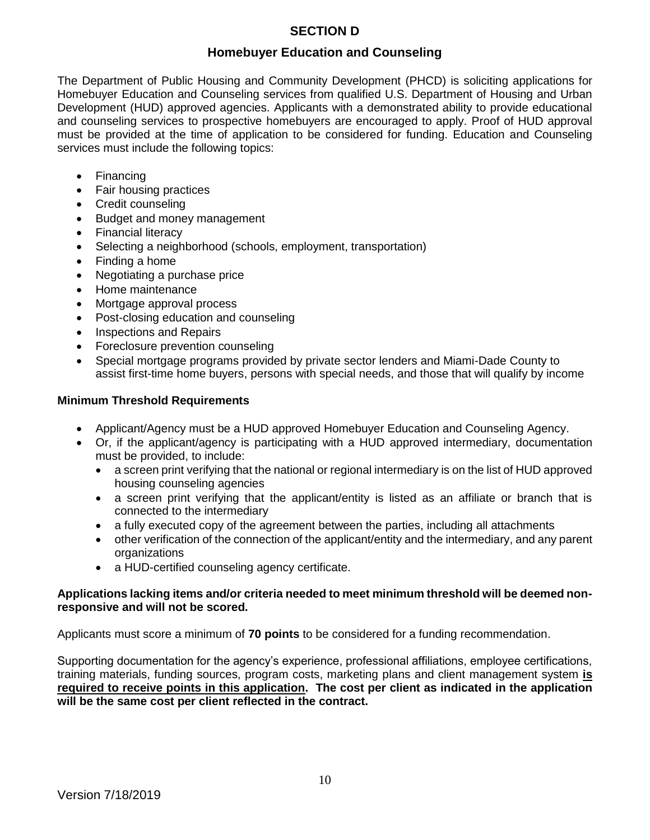# **SECTION D**

### **Homebuyer Education and Counseling**

The Department of Public Housing and Community Development (PHCD) is soliciting applications for Homebuyer Education and Counseling services from qualified U.S. Department of Housing and Urban Development (HUD) approved agencies. Applicants with a demonstrated ability to provide educational and counseling services to prospective homebuyers are encouraged to apply. Proof of HUD approval must be provided at the time of application to be considered for funding. Education and Counseling services must include the following topics:

- Financing
- Fair housing practices
- Credit counseling
- Budget and money management
- Financial literacy
- Selecting a neighborhood (schools, employment, transportation)
- Finding a home
- Negotiating a purchase price
- Home maintenance
- Mortgage approval process
- Post-closing education and counseling
- Inspections and Repairs
- Foreclosure prevention counseling
- Special mortgage programs provided by private sector lenders and Miami-Dade County to assist first-time home buyers, persons with special needs, and those that will qualify by income

#### **Minimum Threshold Requirements**

- Applicant/Agency must be a HUD approved Homebuyer Education and Counseling Agency.
- Or, if the applicant/agency is participating with a HUD approved intermediary, documentation must be provided, to include:
	- a screen print verifying that the national or regional intermediary is on the list of HUD approved housing counseling agencies
	- a screen print verifying that the applicant/entity is listed as an affiliate or branch that is connected to the intermediary
	- a fully executed copy of the agreement between the parties, including all attachments
	- other verification of the connection of the applicant/entity and the intermediary, and any parent organizations
	- a HUD-certified counseling agency certificate.

#### **Applications lacking items and/or criteria needed to meet minimum threshold will be deemed nonresponsive and will not be scored.**

Applicants must score a minimum of **70 points** to be considered for a funding recommendation.

Supporting documentation for the agency's experience, professional affiliations, employee certifications, training materials, funding sources, program costs, marketing plans and client management system **is required to receive points in this application. The cost per client as indicated in the application will be the same cost per client reflected in the contract.**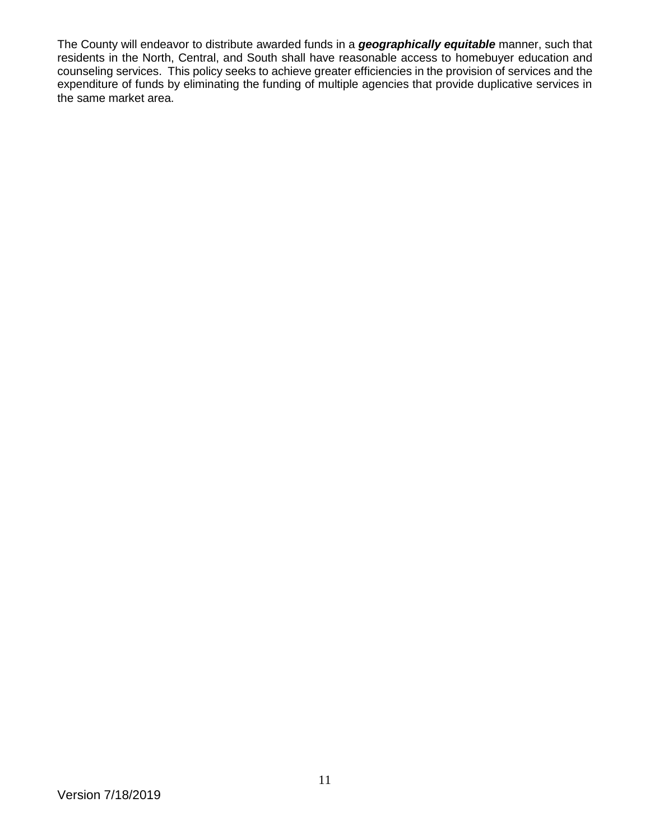The County will endeavor to distribute awarded funds in a *geographically equitable* manner, such that residents in the North, Central, and South shall have reasonable access to homebuyer education and counseling services. This policy seeks to achieve greater efficiencies in the provision of services and the expenditure of funds by eliminating the funding of multiple agencies that provide duplicative services in the same market area.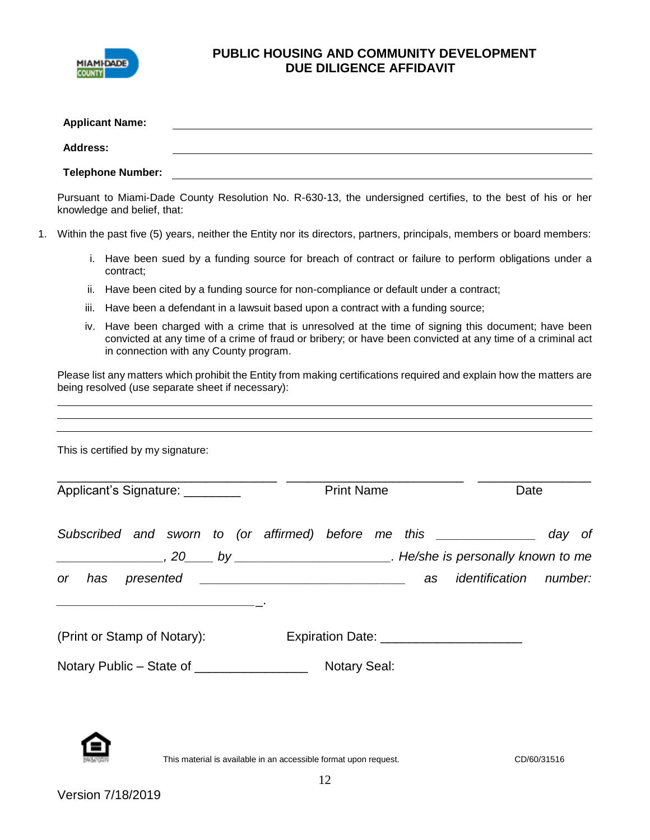

# **PUBLIC HOUSING AND COMMUNITY DEVELOPMENT DUE DILIGENCE AFFIDAVIT**

|    |                 | <b>Applicant Name:</b><br><u> 1989 - Johann Barbara, martxa alemaniar arg</u>                                                                                                                                                                             |        |
|----|-----------------|-----------------------------------------------------------------------------------------------------------------------------------------------------------------------------------------------------------------------------------------------------------|--------|
|    | <b>Address:</b> | <u> 1989 - Johann Barbara, martxa alemaniar amerikan a</u>                                                                                                                                                                                                |        |
|    |                 | <b>Telephone Number:</b><br><u> 1980 - Johann Barn, mars ann an t-Amhain Aonaich an t-Aonaich an t-Aonaich ann an t-Aonaich ann an t-Aonaich</u>                                                                                                          |        |
|    |                 | Pursuant to Miami-Dade County Resolution No. R-630-13, the undersigned certifies, to the best of his or her<br>knowledge and belief, that:                                                                                                                |        |
| 1. |                 | Within the past five (5) years, neither the Entity nor its directors, partners, principals, members or board members:                                                                                                                                     |        |
|    |                 | i. Have been sued by a funding source for breach of contract or failure to perform obligations under a<br>contract;                                                                                                                                       |        |
|    | ii.             | Have been cited by a funding source for non-compliance or default under a contract;                                                                                                                                                                       |        |
|    | iii.            | Have been a defendant in a lawsuit based upon a contract with a funding source;                                                                                                                                                                           |        |
|    | İV.             | Have been charged with a crime that is unresolved at the time of signing this document; have been<br>convicted at any time of a crime of fraud or bribery; or have been convicted at any time of a criminal act<br>in connection with any County program. |        |
|    |                 | <u> 1989 - Andrea Santa Andrea Andrea Santa Andrea Andrea Andrea Andrea Andrea Andrea Andrea Andrea Andrea Andre</u>                                                                                                                                      |        |
|    |                 | This is certified by my signature:                                                                                                                                                                                                                        |        |
|    |                 | Applicant's Signature: ________<br><b>Print Name</b>                                                                                                                                                                                                      | Date   |
|    |                 | Subscribed and sworn to (or affirmed) before me this _______________                                                                                                                                                                                      | day of |
|    |                 |                                                                                                                                                                                                                                                           |        |
|    |                 | as identification number:<br>or has presented                                                                                                                                                                                                             |        |
|    |                 | <u> 1989 - Johann John Stone, mensk politik (d. 1989)</u><br>(Print or Stamp of Notary):<br>Expiration Date: ________________________                                                                                                                     |        |
|    |                 | Notary Public - State of ________________<br><b>Notary Seal:</b>                                                                                                                                                                                          |        |



This material is available in an accessible format upon request. CD/60/31516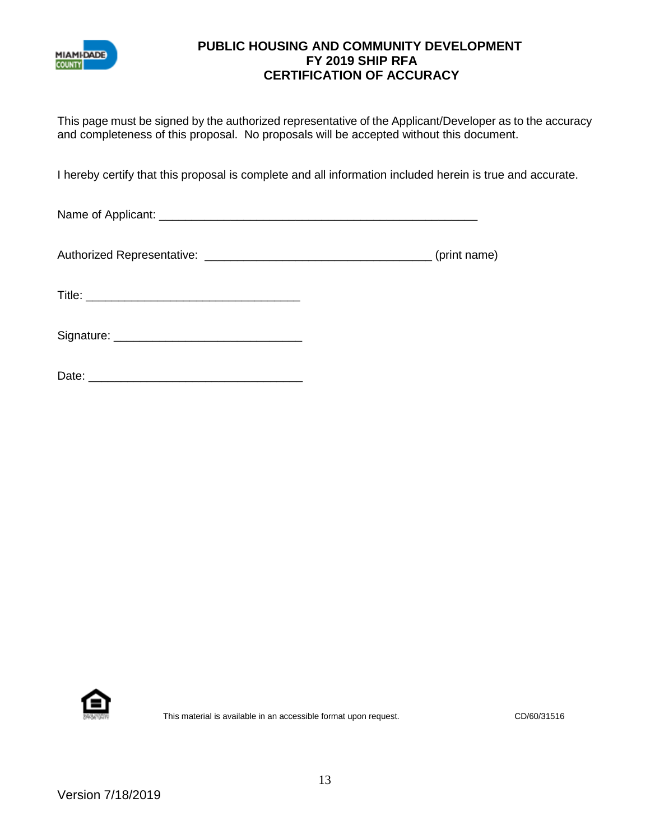

#### **PUBLIC HOUSING AND COMMUNITY DEVELOPMENT FY 2019 SHIP RFA CERTIFICATION OF ACCURACY**

This page must be signed by the authorized representative of the Applicant/Developer as to the accuracy and completeness of this proposal. No proposals will be accepted without this document.

I hereby certify that this proposal is complete and all information included herein is true and accurate.

Name of Applicant: \_\_\_\_\_\_\_\_\_\_\_\_\_\_\_\_\_\_\_\_\_\_\_\_\_\_\_\_\_\_\_\_\_\_\_\_\_\_\_\_\_\_\_\_\_\_\_\_\_

| <b>Authorized Representative:</b> | (print name) |
|-----------------------------------|--------------|
|                                   |              |

Title: \_\_\_\_\_\_\_\_\_\_\_\_\_\_\_\_\_\_\_\_\_\_\_\_\_\_\_\_\_\_\_\_\_

Signature: \_\_\_\_\_\_\_\_\_\_\_\_\_\_\_\_\_\_\_\_\_\_\_\_\_\_\_\_\_

| ∩ate:<br>υαισ. |  |  |  |  |  |
|----------------|--|--|--|--|--|
|                |  |  |  |  |  |



This material is available in an accessible format upon request. CD/60/31516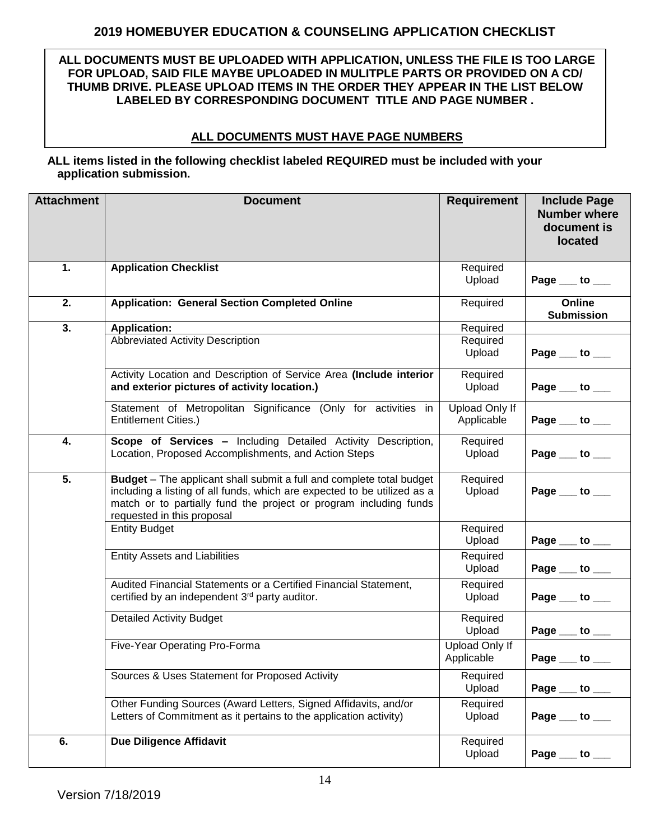### **2019 HOMEBUYER EDUCATION & COUNSELING APPLICATION CHECKLIST**

**ALL DOCUMENTS MUST BE UPLOADED WITH APPLICATION, UNLESS THE FILE IS TOO LARGE FOR UPLOAD, SAID FILE MAYBE UPLOADED IN MULITPLE PARTS OR PROVIDED ON A CD/ THUMB DRIVE. PLEASE UPLOAD ITEMS IN THE ORDER THEY APPEAR IN THE LIST BELOW LABELED BY CORRESPONDING DOCUMENT TITLE AND PAGE NUMBER .**

#### **ALL DOCUMENTS MUST HAVE PAGE NUMBERS**

#### **ALL items listed in the following checklist labeled REQUIRED must be included with your application submission.**

| <b>Attachment</b> | <b>Document</b>                                                                                                                                                                                                                                            | <b>Requirement</b>                  | <b>Include Page</b><br><b>Number where</b><br>document is<br>located |
|-------------------|------------------------------------------------------------------------------------------------------------------------------------------------------------------------------------------------------------------------------------------------------------|-------------------------------------|----------------------------------------------------------------------|
| 1.                | <b>Application Checklist</b>                                                                                                                                                                                                                               | Required<br>Upload                  | Page __ to __                                                        |
| 2.                | <b>Application: General Section Completed Online</b>                                                                                                                                                                                                       | Required                            | Online<br><b>Submission</b>                                          |
| 3.                | <b>Application:</b>                                                                                                                                                                                                                                        | Required                            |                                                                      |
|                   | <b>Abbreviated Activity Description</b>                                                                                                                                                                                                                    | Required<br>Upload                  | Page $\rule{1em}{0.15mm}$ to $\rule{1.5mm}{0.15mm}$                  |
|                   | Activity Location and Description of Service Area (Include interior<br>and exterior pictures of activity location.)                                                                                                                                        | Required<br>Upload                  | Page $\rule{1em}{0.15mm}$ to $\rule{1.5mm}{0.15mm}$                  |
|                   | Statement of Metropolitan Significance (Only for activities in<br><b>Entitlement Cities.)</b>                                                                                                                                                              | Upload Only If<br>Applicable        | Page __ to __                                                        |
| 4.                | Scope of Services - Including Detailed Activity Description,<br>Location, Proposed Accomplishments, and Action Steps                                                                                                                                       | Required<br>Upload                  | Page $\_\_$ to $\_\_$                                                |
| 5.                | <b>Budget</b> – The applicant shall submit a full and complete total budget<br>including a listing of all funds, which are expected to be utilized as a<br>match or to partially fund the project or program including funds<br>requested in this proposal | Required<br>Upload                  | Page $_$ to $_$                                                      |
|                   | <b>Entity Budget</b>                                                                                                                                                                                                                                       | Required<br>Upload                  | Page $\rule{1em}{0.15mm}$ to $\rule{1em}{0.15mm}$                    |
|                   | <b>Entity Assets and Liabilities</b>                                                                                                                                                                                                                       | Required<br>Upload                  | Page $\rule{1em}{0.15mm}$ to $\rule{1.5mm}{0.15mm}$                  |
|                   | Audited Financial Statements or a Certified Financial Statement,<br>certified by an independent 3rd party auditor.                                                                                                                                         | Required<br>Upload                  | Page $\rule{1em}{0.15mm}$ to $\rule{1em}{0.15mm}$                    |
|                   | <b>Detailed Activity Budget</b>                                                                                                                                                                                                                            | Required<br>Upload                  | Page $\rule{1em}{0.15mm}$ to $\rule{1em}{0.15mm}$                    |
|                   | Five-Year Operating Pro-Forma                                                                                                                                                                                                                              | <b>Upload Only If</b><br>Applicable | Page __ to __                                                        |
|                   | Sources & Uses Statement for Proposed Activity                                                                                                                                                                                                             | Required<br>Upload                  | Page $\_\_$ to $\_\_$                                                |
|                   | Other Funding Sources (Award Letters, Signed Affidavits, and/or<br>Letters of Commitment as it pertains to the application activity)                                                                                                                       | Required<br>Upload                  | Page $\_\_$ to $\_\_$                                                |
| 6.                | <b>Due Diligence Affidavit</b>                                                                                                                                                                                                                             | Required<br>Upload                  | Page $\_\_$ to $\_\_$                                                |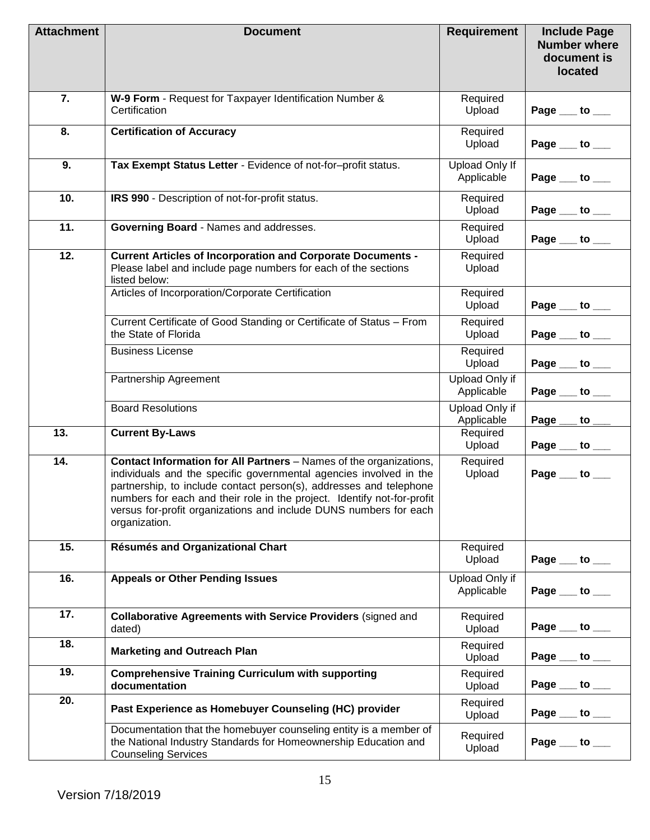| <b>Attachment</b> | <b>Document</b>                                                                                                                                                                                                                                                                                                                                                                 | <b>Requirement</b>                  | <b>Include Page</b><br><b>Number where</b><br>document is<br>located |
|-------------------|---------------------------------------------------------------------------------------------------------------------------------------------------------------------------------------------------------------------------------------------------------------------------------------------------------------------------------------------------------------------------------|-------------------------------------|----------------------------------------------------------------------|
| 7.                | W-9 Form - Request for Taxpayer Identification Number &<br>Certification                                                                                                                                                                                                                                                                                                        | Required<br>Upload                  | Page $\rule{1em}{0.15mm}$ to $\rule{1em}{0.15mm}$                    |
| 8.                | <b>Certification of Accuracy</b>                                                                                                                                                                                                                                                                                                                                                | Required<br>Upload                  | Page $\rule{1em}{0.15mm}$ to $\rule{1.5mm}{0.15mm}$                  |
| 9.                | Tax Exempt Status Letter - Evidence of not-for-profit status.                                                                                                                                                                                                                                                                                                                   | <b>Upload Only If</b><br>Applicable | Page $\_\_$ to $\_\_$                                                |
| 10.               | IRS 990 - Description of not-for-profit status.                                                                                                                                                                                                                                                                                                                                 | Required<br>Upload                  | Page $\rule{1em}{0.15mm}$ to $\rule{1em}{0.15mm}$                    |
| 11.               | Governing Board - Names and addresses.                                                                                                                                                                                                                                                                                                                                          | Required<br>Upload                  | Page __ to __                                                        |
| $\overline{12}$ . | <b>Current Articles of Incorporation and Corporate Documents -</b><br>Please label and include page numbers for each of the sections<br>listed below:                                                                                                                                                                                                                           | Required<br>Upload                  |                                                                      |
|                   | Articles of Incorporation/Corporate Certification                                                                                                                                                                                                                                                                                                                               | Required<br>Upload                  | Page $\rule{1em}{0.15mm}$ to $\rule{1em}{0.15mm}$                    |
|                   | Current Certificate of Good Standing or Certificate of Status - From<br>the State of Florida                                                                                                                                                                                                                                                                                    | Required<br>Upload                  | Page $\rule{1em}{0.15mm}$ to $\rule{1.5mm}{0.15mm}$                  |
|                   | <b>Business License</b>                                                                                                                                                                                                                                                                                                                                                         | Required<br>Upload                  | Page $\rule{1em}{0.15mm}$ to $\rule{1.5mm}{0.15mm}$                  |
|                   | Partnership Agreement                                                                                                                                                                                                                                                                                                                                                           | Upload Only if<br>Applicable        | Page $\_\_$<br>to $\_\_$                                             |
|                   | <b>Board Resolutions</b>                                                                                                                                                                                                                                                                                                                                                        | Upload Only if<br>Applicable        | Page<br>to $\overline{\phantom{0}}$                                  |
| 13.               | <b>Current By-Laws</b>                                                                                                                                                                                                                                                                                                                                                          | Required<br>Upload                  | Page $\rule{1em}{0.15mm}$ to $\rule{1.5mm}{0.15mm}$                  |
| 14.               | Contact Information for All Partners - Names of the organizations,<br>individuals and the specific governmental agencies involved in the<br>partnership, to include contact person(s), addresses and telephone<br>numbers for each and their role in the project. Identify not-for-profit<br>versus for-profit organizations and include DUNS numbers for each<br>organization. | Required<br>Upload                  | Page $\rule{1em}{0.15mm}$ to $\rule{1.5mm}{0.15mm}$                  |
| 15.               | <b>Résumés and Organizational Chart</b>                                                                                                                                                                                                                                                                                                                                         | Required<br>Upload                  | Page $\_\_$ to $\_\_$                                                |
| 16.               | <b>Appeals or Other Pending Issues</b>                                                                                                                                                                                                                                                                                                                                          | Upload Only if<br>Applicable        | Page $\_\_$ to $\_\_$                                                |
| 17.               | <b>Collaborative Agreements with Service Providers (signed and</b><br>dated)                                                                                                                                                                                                                                                                                                    | Required<br>Upload                  | Page $\_\_$ to $\_\_$                                                |
| 18.               | <b>Marketing and Outreach Plan</b>                                                                                                                                                                                                                                                                                                                                              | Required<br>Upload                  | Page $\rule{1em}{0.15mm}$ to $\rule{1.5mm}{0.15mm}$                  |
| 19.               | <b>Comprehensive Training Curriculum with supporting</b><br>documentation                                                                                                                                                                                                                                                                                                       | Required<br>Upload                  | Page $\rule{1em}{0.15mm}$ to $\rule{1.5mm}{0.15mm}$                  |
| 20.               | Past Experience as Homebuyer Counseling (HC) provider                                                                                                                                                                                                                                                                                                                           | Required<br>Upload                  | Page $\rule{1em}{0.15mm}$ to $\rule{1.5mm}{0.15mm}$                  |
|                   | Documentation that the homebuyer counseling entity is a member of<br>the National Industry Standards for Homeownership Education and<br><b>Counseling Services</b>                                                                                                                                                                                                              | Required<br>Upload                  | Page $\rule{1em}{0.15mm}$ to $\rule{1.5mm}{0.15mm}$                  |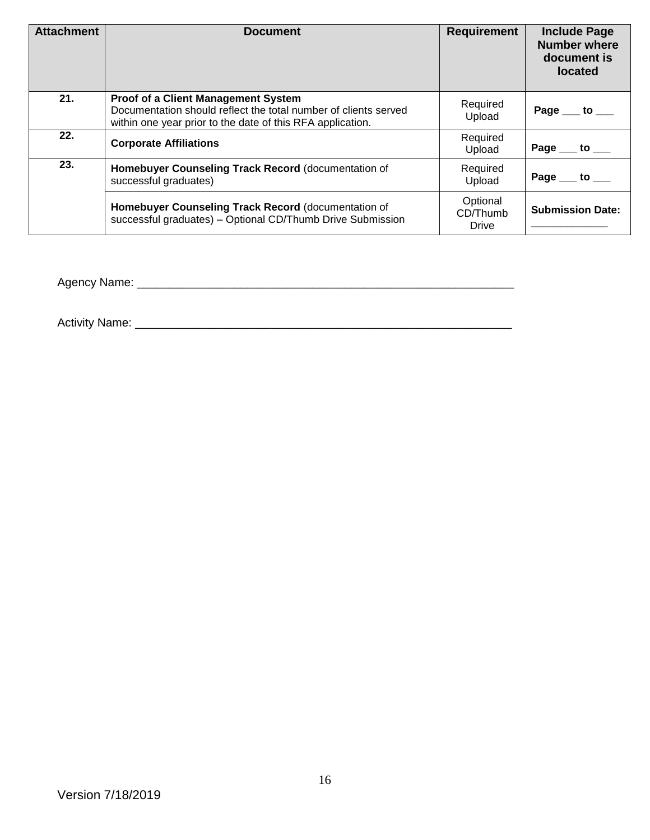| <b>Attachment</b> | <b>Document</b>                                                                                                                                                             | <b>Requirement</b>                   | <b>Include Page</b><br><b>Number where</b><br>document is<br><b>located</b> |
|-------------------|-----------------------------------------------------------------------------------------------------------------------------------------------------------------------------|--------------------------------------|-----------------------------------------------------------------------------|
| 21.               | <b>Proof of a Client Management System</b><br>Documentation should reflect the total number of clients served<br>within one year prior to the date of this RFA application. | Required<br>Upload                   | Page $\rule{1em}{0.15mm}$ to $\rule{1.5mm}{0.15mm}$                         |
| 22.               | <b>Corporate Affiliations</b>                                                                                                                                               | Required<br>Upload                   | Page $\_\_$ to $\_\_$                                                       |
| 23.               | Homebuyer Counseling Track Record (documentation of<br>successful graduates)                                                                                                | Required<br>Upload                   | Page $\_\_$ to $\_\_$                                                       |
|                   | Homebuyer Counseling Track Record (documentation of<br>successful graduates) - Optional CD/Thumb Drive Submission                                                           | Optional<br>CD/Thumb<br><b>Drive</b> | <b>Submission Date:</b>                                                     |

Agency Name: \_\_\_\_\_\_\_\_\_\_\_\_\_\_\_\_\_\_\_\_\_\_\_\_\_\_\_\_\_\_\_\_\_\_\_\_\_\_\_\_\_\_\_\_\_\_\_\_\_\_\_\_\_\_\_\_\_\_

Activity Name: \_\_\_\_\_\_\_\_\_\_\_\_\_\_\_\_\_\_\_\_\_\_\_\_\_\_\_\_\_\_\_\_\_\_\_\_\_\_\_\_\_\_\_\_\_\_\_\_\_\_\_\_\_\_\_\_\_\_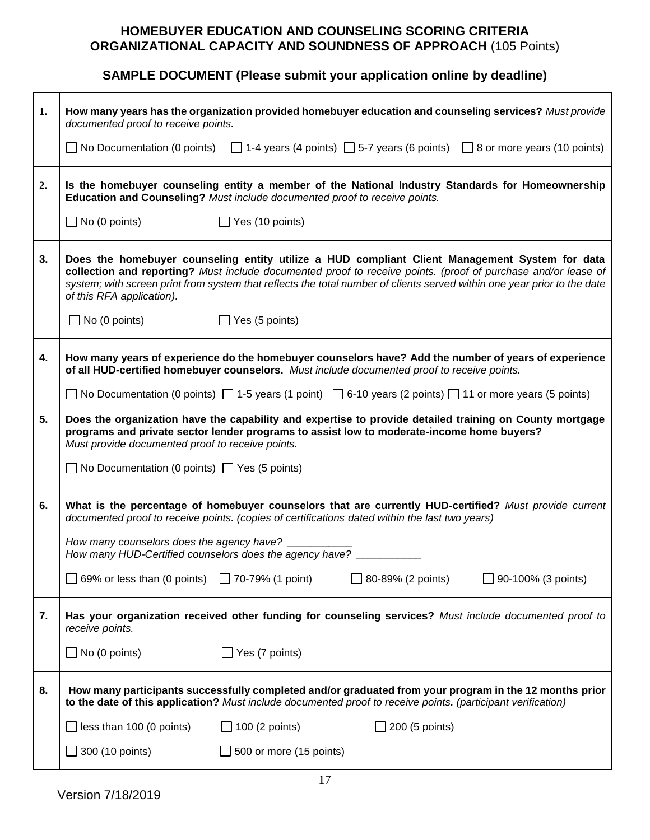# **HOMEBUYER EDUCATION AND COUNSELING SCORING CRITERIA ORGANIZATIONAL CAPACITY AND SOUNDNESS OF APPROACH** (105 Points)

# **SAMPLE DOCUMENT (Please submit your application online by deadline)**

| 1. | How many years has the organization provided homebuyer education and counseling services? Must provide<br>documented proof to receive points.                                                                                                                                                                                                                            |
|----|--------------------------------------------------------------------------------------------------------------------------------------------------------------------------------------------------------------------------------------------------------------------------------------------------------------------------------------------------------------------------|
|    | No Documentation (0 points) $\Box$ 1-4 years (4 points) $\Box$ 5-7 years (6 points) $\Box$ 8 or more years (10 points)                                                                                                                                                                                                                                                   |
| 2. | Is the homebuyer counseling entity a member of the National Industry Standards for Homeownership<br>Education and Counseling? Must include documented proof to receive points.                                                                                                                                                                                           |
|    | $\Box$ No (0 points)<br>$\Box$ Yes (10 points)                                                                                                                                                                                                                                                                                                                           |
| 3. | Does the homebuyer counseling entity utilize a HUD compliant Client Management System for data<br>collection and reporting? Must include documented proof to receive points. (proof of purchase and/or lease of<br>system; with screen print from system that reflects the total number of clients served within one year prior to the date<br>of this RFA application). |
|    | $\Box$ Yes (5 points)<br>$\Box$ No (0 points)                                                                                                                                                                                                                                                                                                                            |
| 4. | How many years of experience do the homebuyer counselors have? Add the number of years of experience<br>of all HUD-certified homebuyer counselors. Must include documented proof to receive points.                                                                                                                                                                      |
|    | No Documentation (0 points) $\Box$ 1-5 years (1 point) $\Box$ 6-10 years (2 points) $\Box$ 11 or more years (5 points)                                                                                                                                                                                                                                                   |
| 5. | Does the organization have the capability and expertise to provide detailed training on County mortgage<br>programs and private sector lender programs to assist low to moderate-income home buyers?<br>Must provide documented proof to receive points.                                                                                                                 |
|    | $\Box$ No Documentation (0 points) $\Box$ Yes (5 points)                                                                                                                                                                                                                                                                                                                 |
| 6. | What is the percentage of homebuyer counselors that are currently HUD-certified? Must provide current<br>documented proof to receive points. (copies of certifications dated within the last two years)                                                                                                                                                                  |
|    | How many counselors does the agency have? _<br>How many HUD-Certified counselors does the agency have?                                                                                                                                                                                                                                                                   |
|    | 69% or less than (0 points) $\Box$ 70-79% (1 point)<br>$\Box$ 80-89% (2 points)<br>$\Box$ 90-100% (3 points)                                                                                                                                                                                                                                                             |
| 7. | Has your organization received other funding for counseling services? Must include documented proof to<br>receive points.                                                                                                                                                                                                                                                |
|    | $\Box$ No (0 points)<br>$\Box$ Yes (7 points)                                                                                                                                                                                                                                                                                                                            |
| 8. | How many participants successfully completed and/or graduated from your program in the 12 months prior<br>to the date of this application? Must include documented proof to receive points. (participant verification)                                                                                                                                                   |
|    | less than 100 (0 points)<br>$\Box$ 100 (2 points)<br>200 (5 points)                                                                                                                                                                                                                                                                                                      |
|    | 300 (10 points)<br>500 or more (15 points)                                                                                                                                                                                                                                                                                                                               |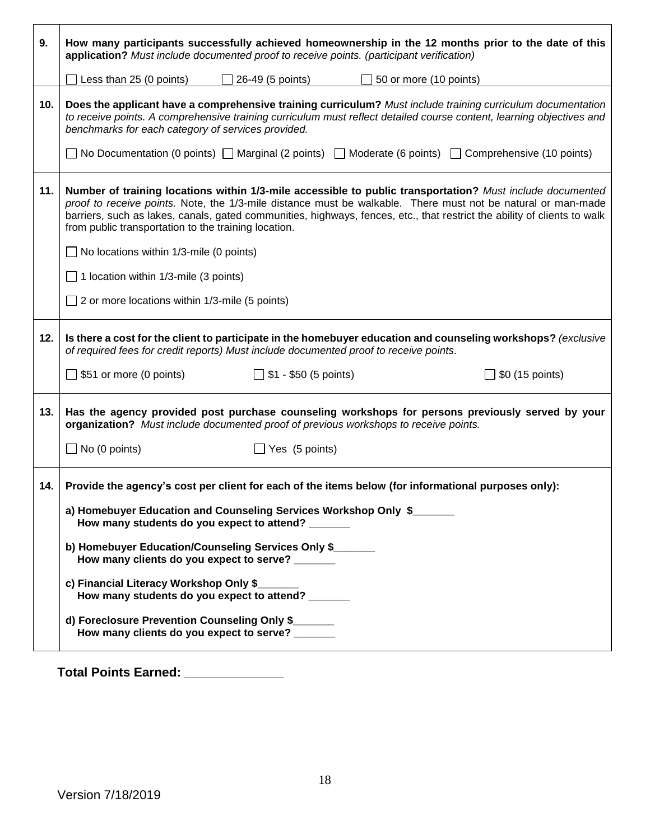| 9.  | How many participants successfully achieved homeownership in the 12 months prior to the date of this<br>application? Must include documented proof to receive points. (participant verification)                                                                                                                                                                                                              |  |  |  |
|-----|---------------------------------------------------------------------------------------------------------------------------------------------------------------------------------------------------------------------------------------------------------------------------------------------------------------------------------------------------------------------------------------------------------------|--|--|--|
|     | Less than 25 (0 points)<br>26-49 (5 points)<br>50 or more (10 points)                                                                                                                                                                                                                                                                                                                                         |  |  |  |
| 10. | Does the applicant have a comprehensive training curriculum? Must include training curriculum documentation<br>to receive points. A comprehensive training curriculum must reflect detailed course content, learning objectives and<br>benchmarks for each category of services provided.<br>□ No Documentation (0 points) □ Marginal (2 points) □ Moderate (6 points) □ Comprehensive (10 points)            |  |  |  |
| 11. | Number of training locations within 1/3-mile accessible to public transportation? Must include documented<br>proof to receive points. Note, the 1/3-mile distance must be walkable. There must not be natural or man-made<br>barriers, such as lakes, canals, gated communities, highways, fences, etc., that restrict the ability of clients to walk<br>from public transportation to the training location. |  |  |  |
|     | $\Box$ No locations within 1/3-mile (0 points)                                                                                                                                                                                                                                                                                                                                                                |  |  |  |
|     | $\Box$ 1 location within 1/3-mile (3 points)                                                                                                                                                                                                                                                                                                                                                                  |  |  |  |
|     | $\Box$ 2 or more locations within 1/3-mile (5 points)                                                                                                                                                                                                                                                                                                                                                         |  |  |  |
| 12. | Is there a cost for the client to participate in the homebuyer education and counseling workshops? (exclusive<br>of required fees for credit reports) Must include documented proof to receive points.                                                                                                                                                                                                        |  |  |  |
|     | $\Box$ \$51 or more (0 points)<br>$\Box$ \$1 - \$50 (5 points)<br>\$0 (15 points)                                                                                                                                                                                                                                                                                                                             |  |  |  |
| 13. | Has the agency provided post purchase counseling workshops for persons previously served by your<br>organization? Must include documented proof of previous workshops to receive points.                                                                                                                                                                                                                      |  |  |  |
|     | $\Box$ No (0 points)<br>$\Box$ Yes (5 points)                                                                                                                                                                                                                                                                                                                                                                 |  |  |  |
| 14. | Provide the agency's cost per client for each of the items below (for informational purposes only):                                                                                                                                                                                                                                                                                                           |  |  |  |
|     | a) Homebuyer Education and Counseling Services Workshop Only \$<br>How many students do you expect to attend?                                                                                                                                                                                                                                                                                                 |  |  |  |
|     | b) Homebuyer Education/Counseling Services Only \$<br>How many clients do you expect to serve?                                                                                                                                                                                                                                                                                                                |  |  |  |
|     | c) Financial Literacy Workshop Only \$<br>How many students do you expect to attend?                                                                                                                                                                                                                                                                                                                          |  |  |  |
|     | d) Foreclosure Prevention Counseling Only \$<br>How many clients do you expect to serve? ______                                                                                                                                                                                                                                                                                                               |  |  |  |

**Total Points Earned: \_\_\_\_\_\_\_\_\_\_\_\_\_\_**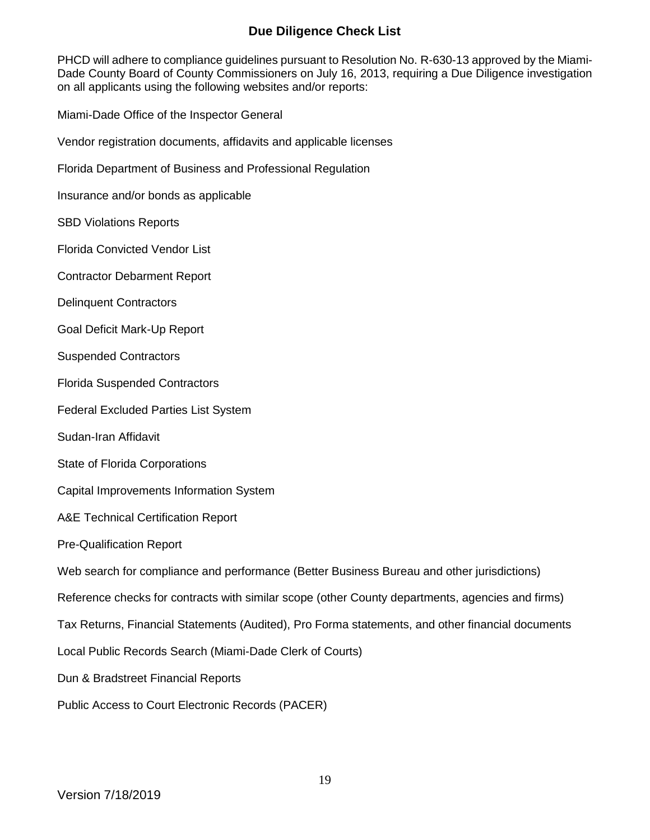### **Due Diligence Check List**

PHCD will adhere to compliance guidelines pursuant to Resolution No. R-630-13 approved by the Miami-Dade County Board of County Commissioners on July 16, 2013, requiring a Due Diligence investigation on all applicants using the following websites and/or reports:

Miami-Dade Office of the Inspector General

Vendor registration documents, affidavits and applicable licenses

Florida Department of Business and Professional Regulation

Insurance and/or bonds as applicable

SBD Violations Reports

Florida Convicted Vendor List

Contractor Debarment Report

Delinquent Contractors

Goal Deficit Mark-Up Report

Suspended Contractors

Florida Suspended Contractors

Federal Excluded Parties List System

Sudan-Iran Affidavit

State of Florida Corporations

Capital Improvements Information System

A&E Technical Certification Report

Pre-Qualification Report

Web search for compliance and performance (Better Business Bureau and other jurisdictions)

Reference checks for contracts with similar scope (other County departments, agencies and firms)

Tax Returns, Financial Statements (Audited), Pro Forma statements, and other financial documents

Local Public Records Search (Miami-Dade Clerk of Courts)

Dun & Bradstreet Financial Reports

Public Access to Court Electronic Records (PACER)